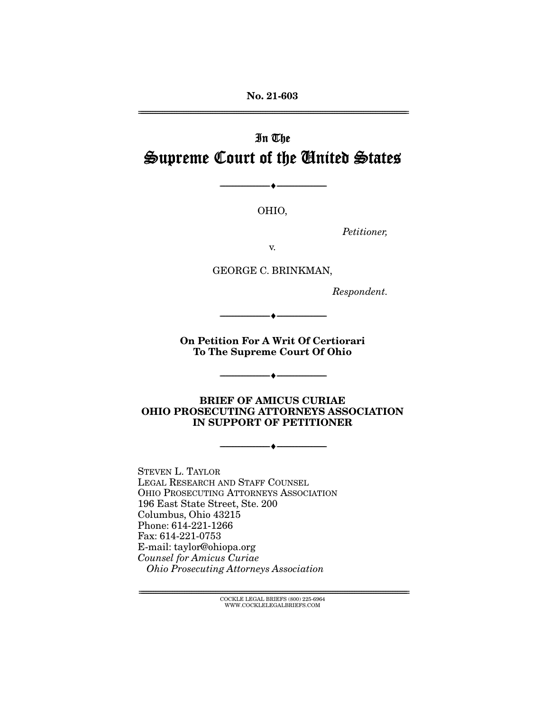**No. 21-603** 

# In The Supreme Court of the United States

OHIO,

 $\overbrace{\hspace{27mm}}$   $\overbrace{\hspace{27mm}}$ 

Petitioner,

GEORGE C. BRINKMAN,

Respondent.

**On Petition For A Writ Of Certiorari To The Supreme Court Of Ohio** 

 $\overbrace{\hspace{27mm}}$   $\overbrace{\hspace{27mm}}$ 

**BRIEF OF AMICUS CURIAE OHIO PROSECUTING ATTORNEYS ASSOCIATION IN SUPPORT OF PETITIONER** 

 $\overbrace{\hspace{27mm}}$   $\overbrace{\hspace{27mm}}$ 

 $\overbrace{\hspace{2.5cm}}$   $\overbrace{\hspace{2.5cm}}$ 

STEVEN L. TAYLOR<br>LEGAL RESEARCH AND STAFF COUNSEL OHIO PROSECUTING ATTORNEYS ASSOCIATION 196 East State Street, Ste. 200 Columbus, Ohio 43215 Phone: 614-221-1266 Fax: 614-221-0753 E-mail: taylor@ohiopa.org E-mail: taylor@ohiopa.org Counsel for Amicus Curiae Ohio Prosecuting Attorneys Association

> $\text{COCKLE LEGAL BRIEFS}$  (800) 225-6964 WWW.COCKLELEGALBRIEFS.COM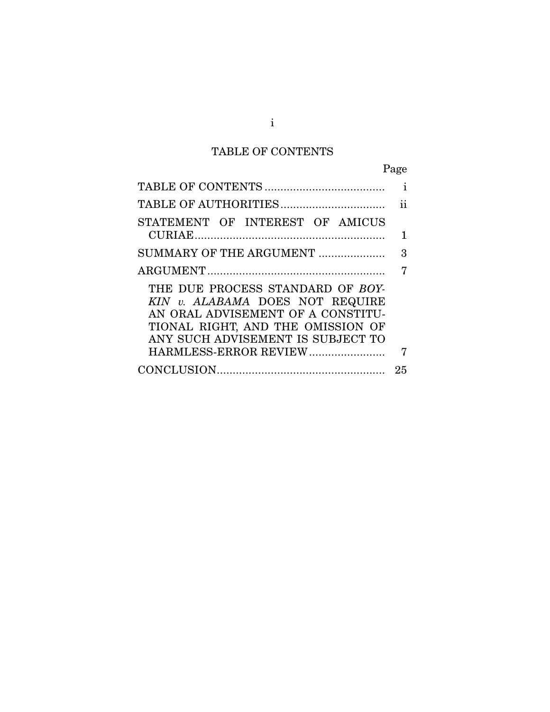# TABLE OF CONTENTS

Page

|                                                                                                                                                                                                             | i  |
|-------------------------------------------------------------------------------------------------------------------------------------------------------------------------------------------------------------|----|
|                                                                                                                                                                                                             | ij |
| STATEMENT OF INTEREST OF AMICUS                                                                                                                                                                             |    |
|                                                                                                                                                                                                             | 1  |
| SUMMARY OF THE ARGUMENT                                                                                                                                                                                     | 3  |
|                                                                                                                                                                                                             | 7  |
| THE DUE PROCESS STANDARD OF BOY-<br>KIN v. ALABAMA DOES NOT REQUIRE<br>AN ORAL ADVISEMENT OF A CONSTITU-<br>TIONAL RIGHT, AND THE OMISSION OF<br>ANY SUCH ADVISEMENT IS SUBJECT TO<br>HARMLESS-ERROR REVIEW | 7  |
|                                                                                                                                                                                                             | 25 |
|                                                                                                                                                                                                             |    |

i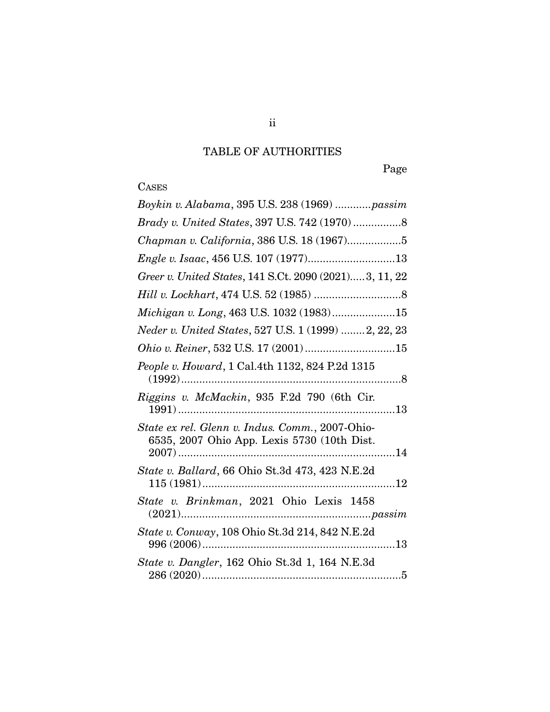# TABLE OF AUTHORITIES

Page

# **CASES**

| Boykin v. Alabama, 395 U.S. 238 (1969)  passim                                                       |
|------------------------------------------------------------------------------------------------------|
|                                                                                                      |
| Chapman v. California, 386 U.S. 18 (1967)5                                                           |
|                                                                                                      |
| Greer v. United States, 141 S.Ct. 2090 (2021)3, 11, 22                                               |
|                                                                                                      |
| Michigan v. Long, 463 U.S. 1032 (1983)15                                                             |
| Neder v. United States, 527 U.S. 1 (1999) 2, 22, 23                                                  |
| Ohio v. Reiner, 532 U.S. 17 (2001) 15                                                                |
| People v. Howard, 1 Cal.4th 1132, 824 P.2d 1315<br>$(1992)$                                          |
| Riggins v. McMackin, 935 F.2d 790 (6th Cir.                                                          |
| State ex rel. Glenn v. Indus. Comm., 2007-Ohio-<br>6535, 2007 Ohio App. Lexis 5730 (10th Dist.<br>14 |
| State v. Ballard, 66 Ohio St.3d 473, 423 N.E.2d                                                      |
| State v. Brinkman, 2021 Ohio Lexis 1458                                                              |
| State v. Conway, 108 Ohio St.3d 214, 842 N.E.2d                                                      |
| State v. Dangler, 162 Ohio St.3d 1, 164 N.E.3d                                                       |
|                                                                                                      |

ii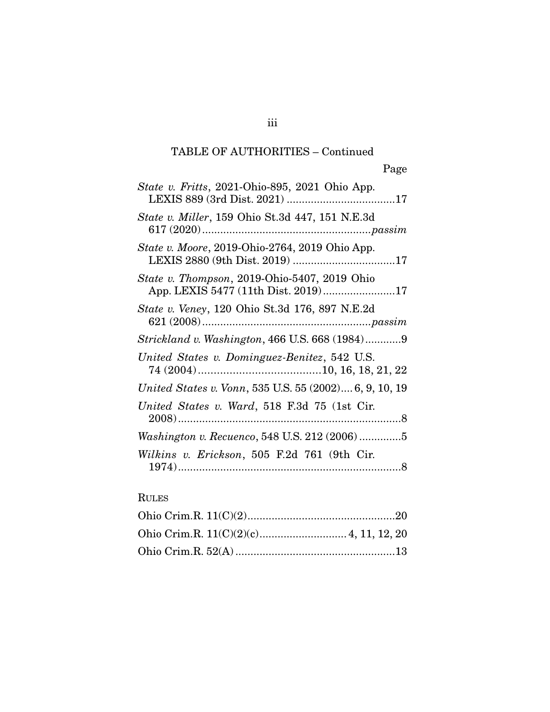## TABLE OF AUTHORITIES – Continued

| <i>State v. Fritts</i> , 2021-Ohio-895, 2021 Ohio App.                              |
|-------------------------------------------------------------------------------------|
| <i>State v. Miller</i> , 159 Ohio St.3d 447, 151 N.E.3d                             |
| State v. Moore, 2019-Ohio-2764, 2019 Ohio App.                                      |
| State v. Thompson, 2019-Ohio-5407, 2019 Ohio<br>App. LEXIS 5477 (11th Dist. 2019)17 |
| <i>State v. Veney</i> , 120 Ohio St.3d 176, 897 N.E.2d                              |
| Strickland v. Washington, 466 U.S. 668 (1984)9                                      |
| United States v. Dominguez-Benitez, 542 U.S.                                        |
| United States v. Vonn, 535 U.S. 55 (2002) 6, 9, 10, 19                              |
| United States v. Ward, 518 F.3d 75 (1st Cir.                                        |
| Washington v. Recuenco, 548 U.S. 212 (2006)5                                        |
| Wilkins v. Erickson, 505 F.2d 761 (9th Cir.                                         |

## RULES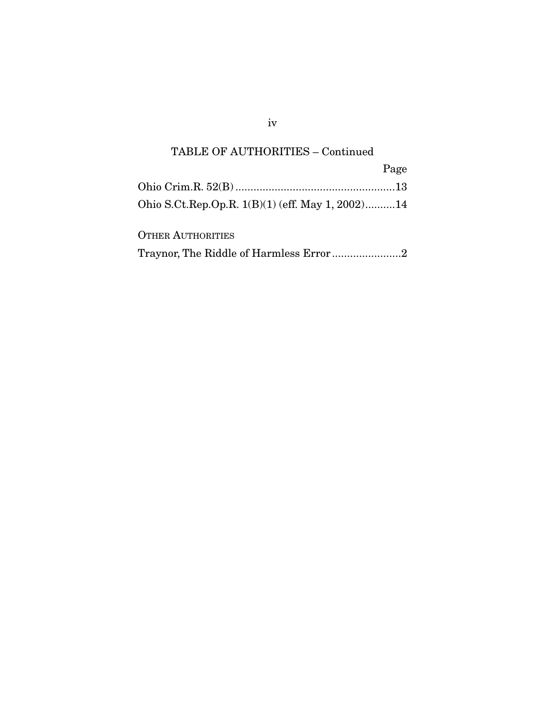## TABLE OF AUTHORITIES – Continued

|                                                  | Page |
|--------------------------------------------------|------|
|                                                  |      |
| Ohio S.Ct.Rep.Op.R. 1(B)(1) (eff. May 1, 2002)14 |      |
| $\Omega$ miro $\Lambda$ imiropimiro              |      |

| <b>OTHER AUTHORITIES</b> |  |
|--------------------------|--|
|                          |  |

iv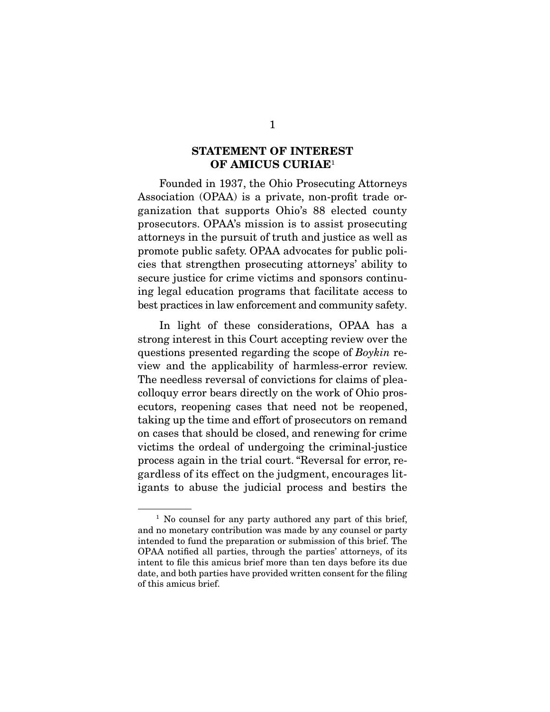### **STATEMENT OF INTEREST OF AMICUS CURIAE**1

Founded in 1937, the Ohio Prosecuting Attorneys<br>Association (OPAA) is a private, non-profit trade organization that supports Ohio's 88 elected county prosecutors. OPAA's mission is to assist prosecuting attorneys in the pursuit of truth and justice as well as promote public safety. OPAA advocates for public policies that strengthen prosecuting attorneys' ability to secure justice for crime victims and sponsors continuing legal education programs that facilitate access to best practices in law enforcement and community safety. best practices in law enforcement and community safety.

In light of these considerations, OPAA has a strong interest in this Court accepting review over the questions presented regarding the scope of *Boykin* review and the applicability of harmless error review view and the applicability of harmless-error review. colloquy error bears directly on the work of Ohio prosecutors, reopening cases that need not be reopened, taking up the time and effort of prosecutors on remand on cases that should be closed, and renewing for crime victims the ordeal of undergoing the criminal-justice process again in the trial court. "Reversal for error, regardless of its effect on the judgment, encourages litigants to abuse the judicial process and bestirs the igants to abuse the judicial process and bestirs the

<sup>&</sup>lt;sup>1</sup> No counsel for any party authored any part of this brief, and no monetary contribution was made by any counsel or party intended to fund the preparation or submission of this brief. The OPAA notified all parties, through the parties' attorneys, of its intent to file this amicus brief more than ten days before its due date, and both parties have provided written consent for the filing of this amicus brief.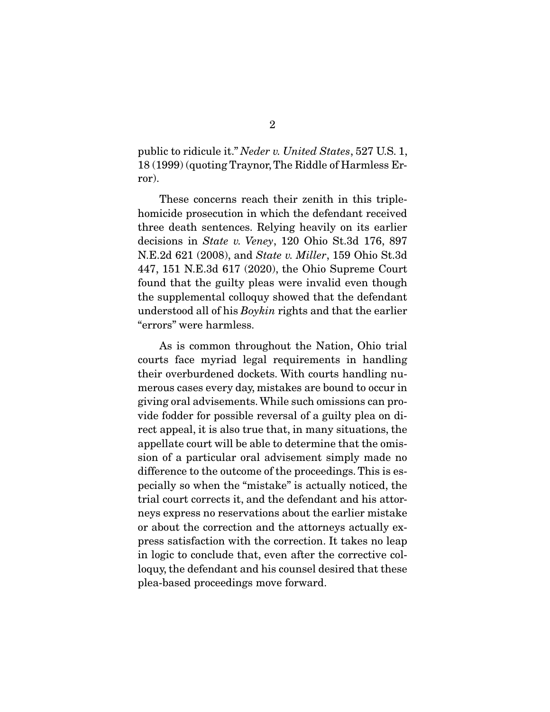public to ridicule it." Neder v. United States, 527 U.S. 1, 18 (1999) (quoting Traynor, The Riddle of Harmless Error).

These concerns reach their zenith in this triple-<br>homicide prosecution in which the defendant received three death sentences. Relying heavily on its earlier decisions in State v. Veney, 120 Ohio St.3d 176, 897<br>N E 24.621.(2008) and State v. *Miller*, 159 Obio St.3d N.E.2d 621 (2008), and *State v. Miller*, 159 Ohio St.3d 447, 151 N.E.3d 617 (2020), the Ohio Supreme Court found that the guilty pleas were invalid even though the supplemental colloquy showed that the defendant  $t_{\text{inter}}$  is suppresented that  $t_{\text{inter}}$  and that the earlier understood all of his *Boykin* rights and that the earlier "errors" were harmless.

As is common throughout the Nation, Ohio trial<br>courts face myriad legal requirements in handling their overburdened dockets. With courts handling numerous cases every day, mistakes are bound to occur in giving oral advisements. While such omissions can provide fodder for possible reversal of a guilty plea on direct appeal, it is also true that, in many situations, the appellate court will be able to determine that the omission of a particular oral advisement simply made no difference to the outcome of the proceedings. This is especially so when the "mistake" is actually noticed, the trial court corrects it, and the defendant and his attorneys express no reservations about the earlier mistake or about the correction and the attorneys actually express satisfaction with the correction. It takes no leap in logic to conclude that, even after the corrective colloguy, the defendant and his counsel desired that these  $\frac{1}{\sqrt{1-\frac{1}{\sqrt{2}}}}$ plea-based proceedings move forward.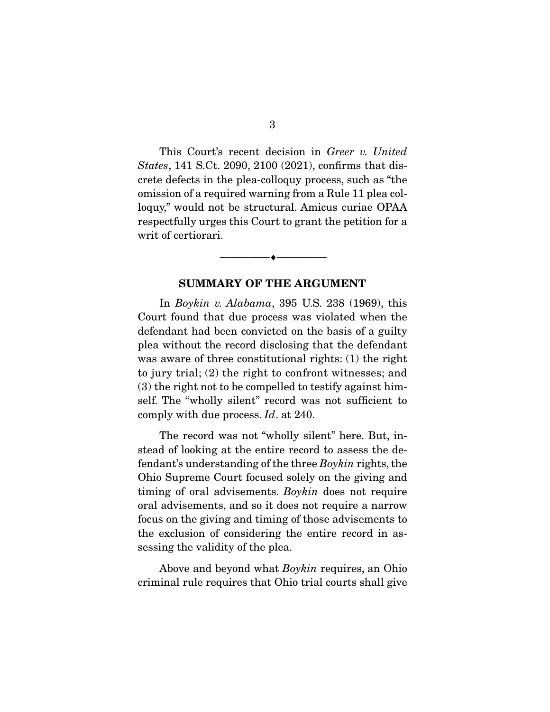This Court's recent decision in Greer v. United States, 141 S.Ct. 2090, 2100 (2021), confirms that discrete defects in the plea-colloquy process, such as "the omission of a required warning from a Rule 11 plea colloquy," would not be structural. Amicus curiae OPAA respectfully urges this Court to grant the petition for a writ of certiorari. writ of certiorari.

### **SUMMARY OF THE ARGUMENT**

 $\overbrace{\hspace{2.5cm}}$   $\overbrace{\hspace{2.5cm}}$ 

In *Boykin v. Alabama*, 395 U.S. 238 (1969), this Court found that due process was violated when the defendant had been convicted on the basis of a guilty plea without the record disclosing that the defendant was aware of three constitutional rights:  $(1)$  the right to jury trial;  $(2)$  the right to confront witnesses; and  $(3)$  the right not to be compelled to testify against himself. The "wholly silent" record was not sufficient to comply with due process.  $Id$ . at 240.

The record was not "wholly silent" here. But, instead of looking at the entire record to assess the defendant's understanding of the three *Boykin* rights, the Obje Supreme Court focused solely on the giving and  $\liminf$  oral advisements. Boykin does not require oral advisements, and so it does not require a narrow the exclusion of considering the entire record in asthe exclusion of considering the entire record in assessing the valid  $\frac{1}{2}$  the please  $\frac{1}{2}$ 

 Above and beyond what Boykin requires, an Ohio criminal rule requires that Ohio trial courts shall give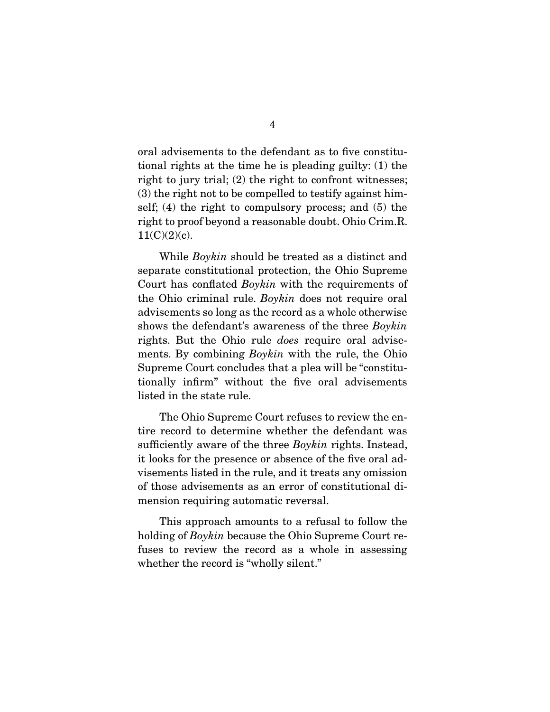oral advisements to the defendant as to five constitutional rights at the time he is pleading guilty: (1) the right to jury trial;  $(2)$  the right to confront witnesses;  $r(3)$  the right not to be compelled to testify against himself; (4) the right to compulsory process; and  $(5)$  the  $s_{\text{right}}$  to compute the reasonable doubt. Objective R right to proof beyond a reasonable doubt. Ohio Crime. $11(\Gamma\backslash\{9\})_0$ .  $(1,1)$ 

While *Boykin* should be treated as a distinct and separate constitutional protection, the Ohio Supreme Court has conflated  $Boykin$  with the requirements of the Ohio griminal rule,  $Boykin$  does not require and the Ohio criminal rule. Boykin does not require oral advisements so long as the record as a whole otherwise shows the defendant's awareness of the three  $Boykin$ <br>rights. But the Obje rule dece require eval advise rights. But the Ohio rule does require oral advisements. By combining *Boykin* with the rule, the Ohio Supreme Court concludes that a plea will be "constitutionally infirm" without the five oral advisements listed in the state rule. listed in the state rule.

The Ohio Supreme Court refuses to review the en-<br>tire record to determine whether the defendant was sufficiently aware of the three  $Boykin$  rights. Instead, it looks for the presence or absence of the five and ad it looks for the presence or absence of the five oral adof those advisements as an error of constitutional dimension requiring automatic reversal. mension requiring automatic reversal.

 $\frac{1}{10}$  holding of *Boykin* because the Ohio Supreme Court re $f(x)$  who record is "wholly silent" whether the record is "who is "who is "who is "who is "who is "who is "who is "who is "who is "who is "who is "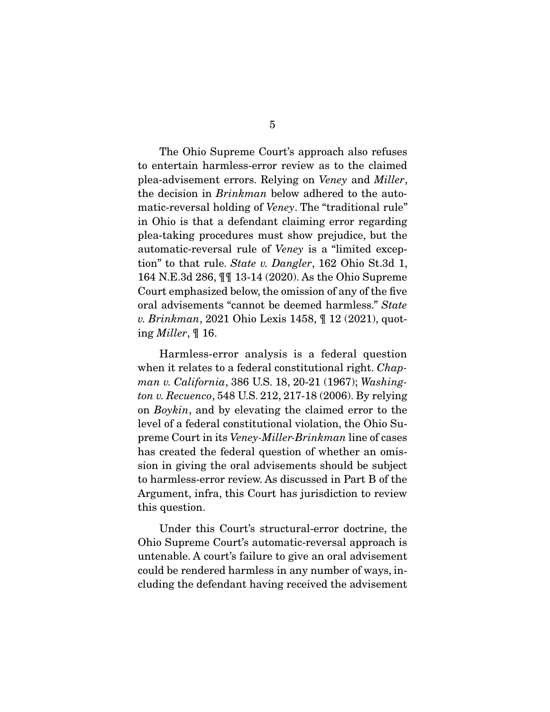The Ohio Supreme Court's approach also refuses<br>to entertain harmless-error review as to the claimed plea-advisement errors. Relying on *Veney* and *Miller*,<br>the decision in *Brinhman* below adhered to the sute the decision in Brinkman below adhered to the automatic-reversal holding of *Veney*. The "traditional rule"<br>in Ohio is that a defendant claiming error regarding plea-taking procedures must show prejudice, but the automatic-reversal rule of *Veney* is a "limited excep-<br>tion" to the rule *State v. Dangler*, 162 Obje St 3d 1 tion" to that rule. State v. Dangler, 162 Ohio St.3d 1, 164 N.E.3d 286,  $\P\P$  13-14 (2020). As the Ohio Supreme Court emphasized below, the omission of any of the five oral advisements "cannot be deemed harmless." State<br>v Brinhman, 2021 Obje Levis 1458, ¶ 12 (2021), quot v. Brinkman, 2021 Ohio Lexis 1458, ¶ 12 (2021), quoting Miller, ¶ 16.

when it relates to a federal constitutional right. Chap-<br>was u. California. 386 U.S. 18, 20, 21 (1967): Washing man v. California, 386 U.S. 18, 20-21 (1967); Washington v. Recuenco, 548 U.S. 212, 217-18 (2006). By relying on *Boykin*, and by elevating the claimed error to the level of a federal constitutional violation, the Ohio Supreme Court in its Veney-Miller-Brinkman line of cases<br>has created the federal question of whether an emishas created the federal question of whether an omis-<br>sion in giving the oral advisements should be subject to harmless-error review. As discussed in Part B of the Argument, infra, this Court has jurisdiction to review.  $\frac{1}{2}$  argument, infrastructure to  $\frac{1}{2}$  the court of review to review the review of  $\frac{1}{2}$ this question.

Under this Court's structural-error doctrine, the Ohio Supreme Court's automatic-reversal approach is untenable. A court's failure to give an oral advisement could be rendered harmless in any number of ways, including the defendant having received the advisement cluding the defendant having received the advisement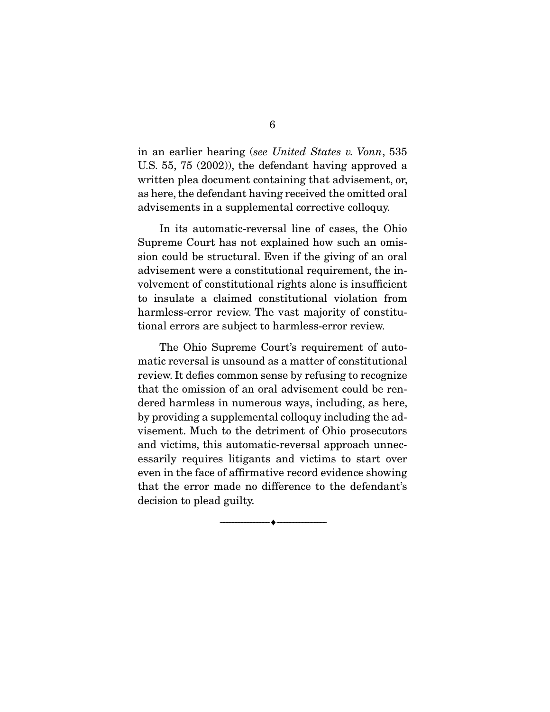in an earlier hearing (see United States v. Vonn, 535 U.S. 55, 75 (2002)), the defendant having approved a written plea document containing that advisement, or, as here, the defendant having received the omitted oral  $\frac{1}{2}$  defined the defendant domination of  $\frac{1}{2}$ advisements in a supplemental corrective colloque  $\mathbf{r}_1$ .

In its automatic-reversal line of cases, the Ohio Supreme Court has not explained how such an omission could be structural. Even if the giving of an oral advisement were a constitutional requirement, the involvement of constitutional rights alone is insufficient to insulate a claimed constitutional violation from harmless-error review. The vast majority of constitu- $\frac{1}{2}$ tional errors are subject to harmless-error review.

The Ohio Supreme Court's requirement of auto-<br>matic reversal is unsound as a matter of constitutional review. It defies common sense by refusing to recognize that the omission of an oral advisement could be rendered harmless in numerous ways, including, as here, by providing a supplemental colloquy including the advisement. Much to the detriment of Ohio prosecutors and victims, this automatic-reversal approach unnecessarily requires litigants and victims to start over even in the face of affirmative record evidence showing that the error made no difference to the defendant's decision to plead guilty. decision to plead guilty.

 $\overbrace{\hspace{2.5cm}}$   $\overbrace{\hspace{2.5cm}}$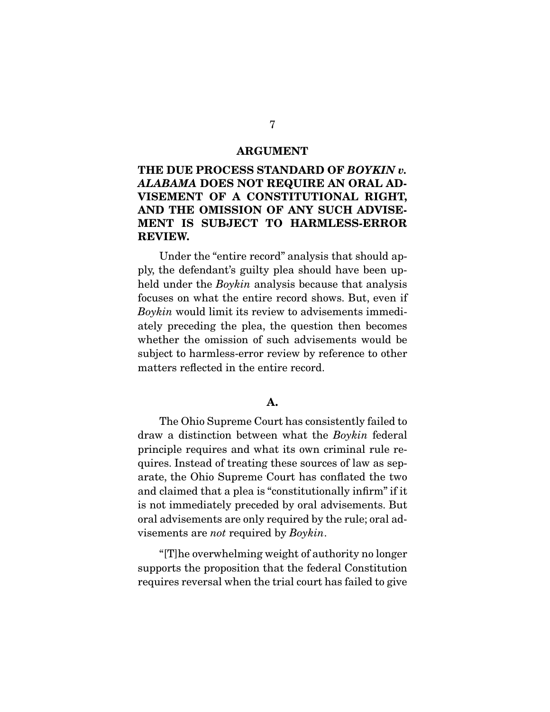#### **ARGUMENT**

### **THE DUE PROCESS STANDARD OF** *BOYKIN v. ALABAMA* **DOES NOT REQUIRE AN ORAL AD-VISEMENT OF A CONSTITUTIONAL RIGHT, AND THE OMISSION OF ANY SUCH ADVISE-MENT IS SUBJECT TO HARMLESS-ERROR REVIEW.**

Under the "entire record" analysis that should ap-<br>ply, the defendant's guilty plea should have been up- $\frac{1}{2}$  held under the *Boykin* analysis because that analysis focuses on what the ontire recept shows. But, even if  $f_{\text{av}}$  where the entire record shows. But, even in  $f_{\text{av}}$  is a substitute of  $f_{\text{av}}$  and  $f_{\text{av}}$  and  $f_{\text{av}}$  and  $f_{\text{av}}$  are  $f_{\text{av}}$  and  $f_{\text{av}}$  are  $f_{\text{av}}$  and  $f_{\text{av}}$  are  $f_{\text{av}}$  and  $f_{\text{av}}$  ar ately preceding the plea, the question then becomes subject to harmless-error review by reference to other matters reflected in the entire record. matters reflected in the entire record.

#### **A.**

draw a distinction between what the *Boykin* federal principle requires and what its own criminal rule rearate, the Ohio Supreme Court has conflated the two and claimed that a plea is "constitutionally infirm" if it is not immediately preceded by oral advisements. But oral advisements are only required by the rule; oral ad $v$ isements are *not* required by  $Boykin$ .

 "[T]he overwhelming weight of authority no longer requires reversal when the trial court has failed to give requires reversal when the trial court has failed to give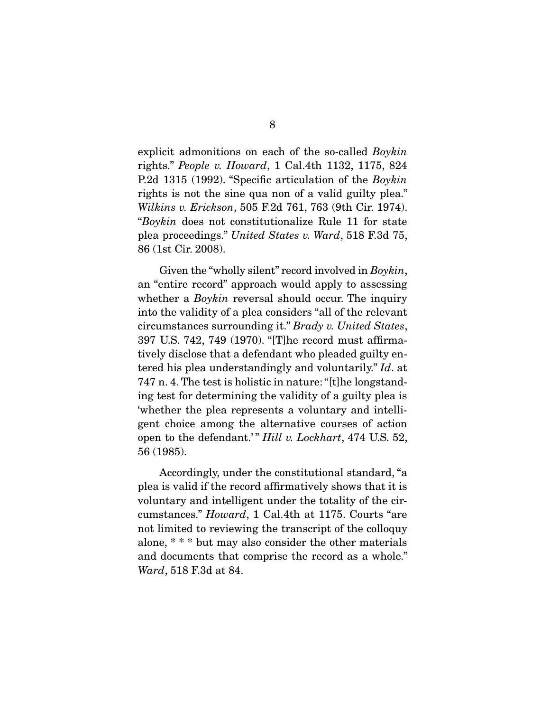explicit admonitions on each of the so-called Boykin rights." People v. Howard, 1 Cal.4th 1132, 1175, 824 P.2d 1315 (1992). "Specific articulation of the *Boykin* rights is not the sine qua non of a valid guilty plea." Wilkins v. Erickson, 505 F.2d 761, 763 (9th Cir. 1974). "Boykin does not constitutionalize Rule 11 for state plea proceedings." United States v. Ward, 518 F.3d 75, 86 (1st Cir. 2008).

Given the "wholly silent" record involved in *Boykin*, an "entire record" approach would apply to assessing whether a *Boykin* reversal should occur. The inquiry  $\frac{1}{2}$  is the velocity of a play considers "all of the relevant" circumstances surrounding it." Brady v. United States,<br>207 U.S. 749 749 (1970) "The recept must offirms 397 U.S. 742, 749 (1970). "[T]he record must affirmatered his plea understandingly and voluntarily."  $Id$  at  $747 \text{ p}$  4. The test is belief is patter. "[the legation] 747 n. 4. The test is holistic in nature: "[t]he longstand-<br>ing test for determining the validity of a guilty plea is 'whether the plea represents a voluntary and intelligent choice among the alternative courses of action open to the defendant.'"  $Hill$  v. Lockhart, 474 U.S. 52,  $56(1985)$ 56 (1985).

Accordingly, under the constitutional standard, "a plea is valid if the record affirmatively shows that it is voluntary and intelligent under the totality of the cir $v_{\text{c}1}$  and intelligent under the totality of the circumstances."  $Howard$ , 1 Cal.4th at 1175. Courts "are not limited to reviewing the transcript of the colloquy alone, \*\*\* but may also consider the other materials and documents that comprise the record as a whole." Ward, 518 F.3d at 84.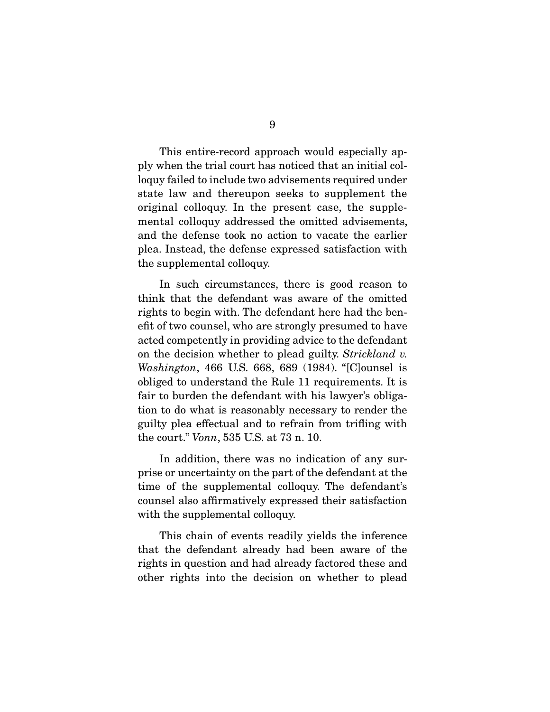This entire-record approach would especially apply when the trial court has noticed that an initial colloguy failed to include two advisements required under state law and thereupon seeks to supplement the original colloquy. In the present case, the supplemental colloquy addressed the omitted advisements, and the defense took no action to vacate the earlier plea. Instead, the defense expressed satisfaction with  $\frac{1}{\pi}$  is defined to  $\frac{1}{\pi}$  the defense of  $\frac{1}{\pi}$  $\sum_{i=1}^{n}$ 

In such circumstances, there is good reason to think that the defendant was aware of the omitted rights to begin with. The defendant here had the benefit of two counsel, who are strongly presumed to have acted competently in providing advice to the defendant on the decision whether to plead guilty. Strickland v.<br>Washington, 466 U.S. 668, 689, (1984), "[Clounsel is *Washington*, 466 U.S. 668, 689 (1984). "[C]ounsel is obliged to understand the Rule 11 requirements. It is fair to burden the defendant with his lawyer's obligation to do what is reasonably necessary to render the guilty plea effectual and to refrain from trifling with the court."  $Vonn$ , 535 U.S. at 73 n. 10.

In addition, there was no indication of any surprise or uncertainty on the part of the defendant at the time of the supplemental colloquy. The defendant's counsel also affirmatively expressed their satisfaction with the supplemental colloquy. with the supplemental colloquy.

This chain of events readily yields the inference that the defendant already had been aware of the rights in question and had already factored these and  $\frac{1}{2}$  rights into the degision and whether to plead other rights into the decision on whether to plead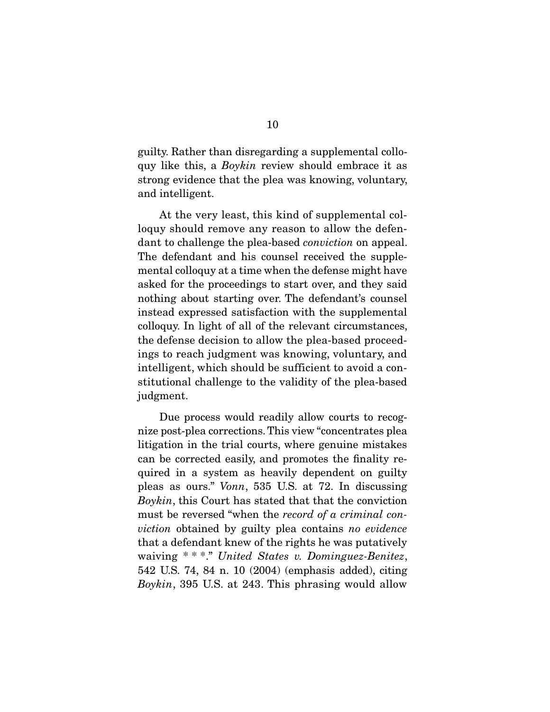$g_{\text{avg}}$  is this, a *Boykin* review should embrace it as strong ovidence that the pleasure knowing veluptory. strong evidence that the plea was knowing, voluntary, and intelligent.

At the very least, this kind of supplemental colloquy should remove any reason to allow the defendant to challenge the plea-based *conviction* on appeal. The defendant and his counsel received the supple-<br>mental colloquy at a time when the defense might have asked for the proceedings to start over, and they said nothing about starting over. The defendant's counsel instead expressed satisfaction with the supplemental colloquy. In light of all of the relevant circumstances, the defense decision to allow the plea-based proceedings to reach judgment was knowing, voluntary, and intelligent, which should be sufficient to avoid a con- $\frac{1}{2}$  internal  $\frac{1}{2}$  of the solidity of the plan begad stitutional challenge to the validity of the plea-based judgment.

Due process would readily allow courts to recognize post-plea corrections. This view "concentrates plea litigation in the trial courts, where genuine mistakes can be corrected easily, and promotes the finality required in a system as heavily dependent on guilty pleas as ours." Vonn, 535 U.S. at 72. In discussing  $B_{\text{cubic}}$  this Court has stated that that the conviction Boykin, this Court has stated that that the conviction must be reversed "when the record of a criminal conviction obtained by guilty plea contains no evidence that a defendant knew of the rights he was putatively waiving \* \* \*." United States v. Dominguez-Benitez,<br>542 US 74 84 p. 10 (2004) (omphasis added) citing  $Boykin$ , 395 U.S. at 243. This phrasing would allow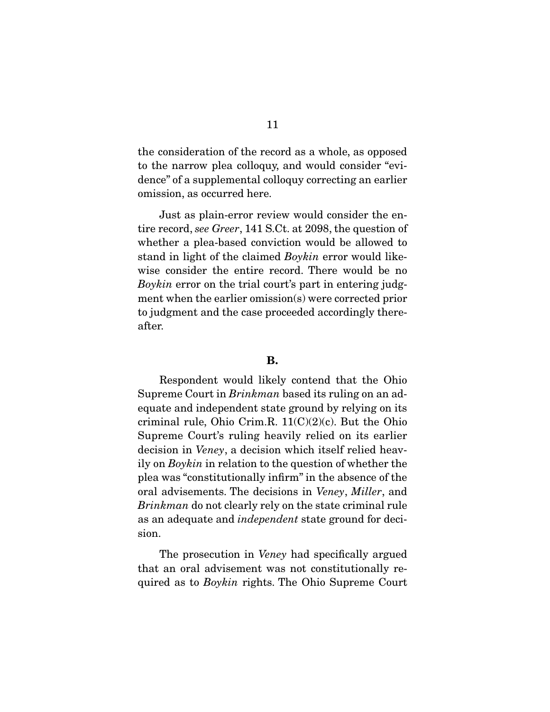the consideration of the record as a whole, as opposed<br>to the narrow plea colloquy, and would consider "evidence" of a supplemental colloquy correcting an earlier omission, as occurred here. omission, as occurred here.

tire record, see Greer, 141 S.Ct. at 2098, the question of<br>whether a plan based conviction would be allowed to stand in light of the claimed  $Boykin$  error would like- $Boykin$  error on the trial court's part in entering judg-<br>mont when the earlier emission(s) were corrected prior. ment when the earlier omission(s) were corrected prior<br>to judgment and the case proceeded accordingly there- $\frac{1}{2}$  to  $\frac{1}{2}$  the case proceeded accordingly the case  $\frac{1}{2}$ after.

#### **B.**

Supreme Court in  $Brinkman$  based its ruling on an adequate and independent state ground by relying on its<br>criminal rule, Ohio Crim.R.  $11(C)(2)(c)$ . But the Ohio Supreme Court's ruling heavily relied on its earlier.  $\frac{1}{2}$  decision in *Veney*, a decision which itself relied heav-<br>ily en *Pouhin* in relation to the question of whether the ily on *Boykin* in relation to the question of whether the plea was "constitutionally infirm" in the absence of the please was denoted by the constitution of the absence of the absence of the absence of the state original rule Brinkman do not clearly rely on the state criminal rule as an adequate and *independent* state ground for decision. sion.

The prosecution in *Veney* had specifically argued that an oral advisement was not constitutionally required as to *Boykin* rights. The Ohio Supreme Court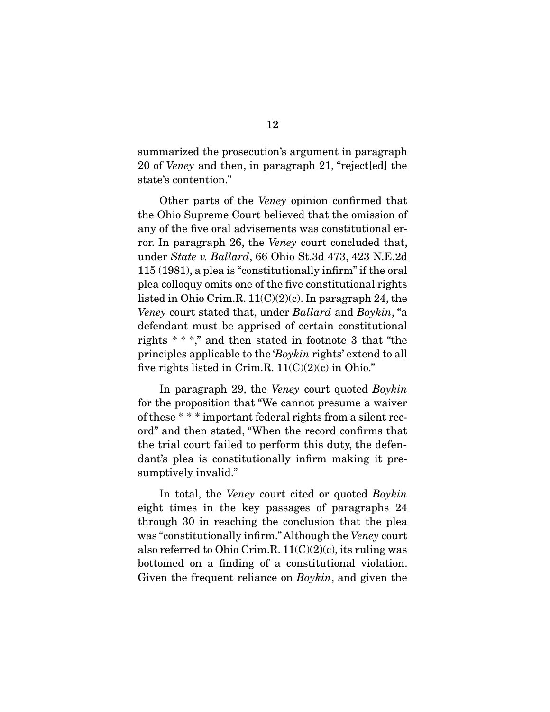20 of *Veney* and then, in paragraph 21, "reject[ed] the state's contention."

Other parts of the *Veney* opinion confirmed that the Ohio Supreme Court believed that the omission of any of the five oral advisements was constitutional error. In paragraph 26, the Veney court concluded that,<br>under  $\frac{7}{5}$  and  $\frac{1}{2}$  and  $\frac{1}{2}$  and  $\frac{1}{2}$  and  $\frac{1}{2}$  and  $\frac{1}{2}$  and  $\frac{1}{2}$  and  $\frac{1}{2}$  and  $\frac{1}{2}$  and  $\frac{1}{2}$  and  $\frac{1}{2}$  and  $\frac{1}{2$ under *State v. Ballard*, 66 Ohio St.3d 473, 423 N.E.2d 115 (1981), a plea is "constitutionally infirm" if the oral plea colloquy omits one of the five constitutional rights listed in Ohio Crim.R.  $11(C)(2)(c)$ . In paragraph 24, the Veney court stated that, under Ballard and Boykin, "a defendant must be apprised of certain constitutional defendant must be apprised of certain constitutional rights  $***$ ," and then stated in footnote 3 that "the principles applicable to the 'Boykin rights' extend to all<br>five rights listed in Crim B.  $11(C)(2)(e)$  in Obje." five rights listed in Crim.R.  $11(C)(2)(c)$  in Ohio."

In paragraph 29, the *Veney* court quoted *Boykin* for the proposition that "We cannot presume a waiver of these  $***$  important federal rights from a silent record" and then stated, "When the record confirms that the trial court failed to perform this duty, the defendant's plea is constitutionally infirm making it pre $d$  is pleased is constitutionally interesting it pre- $\mathbf{r}$  is the sumpture invariant  $\mathbf{r}$ 

In total, the *Veney* court cited or quoted *Boykin* eight times in the key passages of paragraphs 24 through 30 in reaching the conclusion that the plea was "constitutionally infirm." Although the *Veney* court<br>also referred to Obje Crim B,  $11(C(2)(e))$  its ruling was also referred to Ohio Crim.R.  $11(C)(2)(c)$ , its ruling was bottomed on a finding of a constitutional violation. Given the frequent reliance on *Boykin*, and given the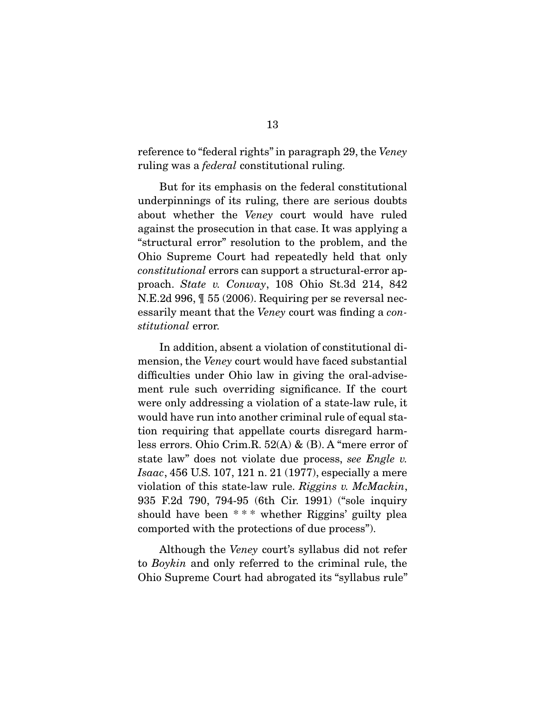reference to "federal rights" in paragraph 29, the Veney ruling was a *federal* constitutional ruling.

But for its emphasis on the federal constitutional underpinnings of its ruling, there are serious doubts about whether the *Veney* court would have ruled against the prosecution in that case. It was applying a Ohio Supreme Court had repeatedly held that only Constitutional errors can support a structural-error ap-<br>proach State v Convey 108 Obje St 3d 214 842 proach. State v. Conway, 108 Ohio St.3d 214, 842<br>N.E.2d 996,  $\parallel$  55 (2006). Requiring per se reversal nec- $\frac{1}{2}$  essarily meant that the *Veney* court was finding a *con*stitutional error.

mension, the *Veney* court would have faced substantial difficulties under Obje lew in giving the eral education difficulties under Ohio law in giving the oral-advise-<br>ment rule such overriding significance. If the court were only addressing a violation of a state-law rule, it would have run into another criminal rule of equal station requiring that appellate courts disregard harmless errors. Ohio Crim.R.  $52(A)$  & (B). A "mere error of state law" does not violate due process, see Engle v.<br>Legge 456 U.S. 107, 121 p. 21 (1977) errorielly a more Isaac, 456 U.S. 107, 121 n. 21 (1977), especially a mere violation of this state-law rule. Riggins v. McMackin, 935 F.2d 790, 794-95 (6th Cir. 1991) ("sole inquiry should have been \*\*\* whether Riggins' guilty plea  $\frac{1}{2}$  showed with the protections of due precess. comported with the protections of due process").

 Although the Veney court's syllabus did not refer to Boykin and only referred to the criminal rule, the Ohio Supreme Court had abrogated its "syllabus rule"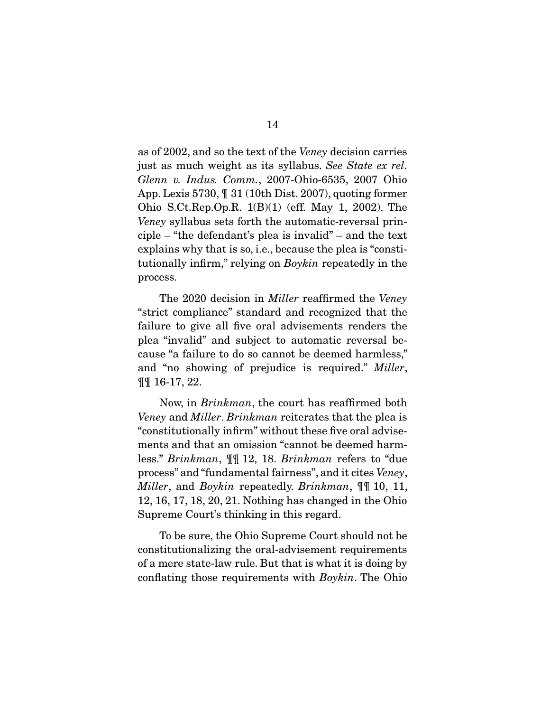as of 2002, and so the text of the Veney decision carries just as much weight as its syllabus. See State ex rel. Glenn v. Indus. Comm., 2007-Ohio-6535, 2007 Ohio<br>App. Lexis 5730,  $\P$  31 (10th Dist. 2007), quoting former Ohio S.Ct.Rep.Op.R.  $1(B)(1)$  (eff. May 1, 2002). The Veney syllabus sets forth the automatic-reversal principle. "the defendant's plan is involid", and the text. ciple – "the defendant's plea is invalid" – and the text tutionally infirm," relying on *Boykin* repeatedly in the process.

The 2020 decision in *Miller* reaffirmed the *Veney*<br>"strict compliance" standard and recognized that the failure to give all five oral advisements renders the plea "invalid" and subject to automatic reversal because "a failure to do so cannot be deemed harmless," and "no showing of prejudice is required." Miller,  $\pi \pi$  16.17.22 ¶¶ 16-17, 22.

 Now, in Brinkman, the court has reaffirmed both Veney and *Miller. Brinkman* reiterates that the plea is "constitutionally infirm" without these five oral advisements and that an omission "cannot be deemed harmless." *Brinkman*,  $\P$ [ 12, 18. *Brinkman* refers to "due" process" and "fundamental fairness", and it cites Veney, *Miller*, and *Boykin* repeatedly. *Brinkman*,  $\mathbb{I}$  10, 11, 12, 16, 17, 18, 20, 21. Nothing has changed in the Ohio Supreme Court's thinking in this regard. Supreme Court's thinking in this regard.

To be sure, the Ohio Supreme Court should not be constitutionalizing the oral-advisement requirements of a mere state-law rule. But that is what it is doing by conflating those requirements with  $Boykin$ . The Ohio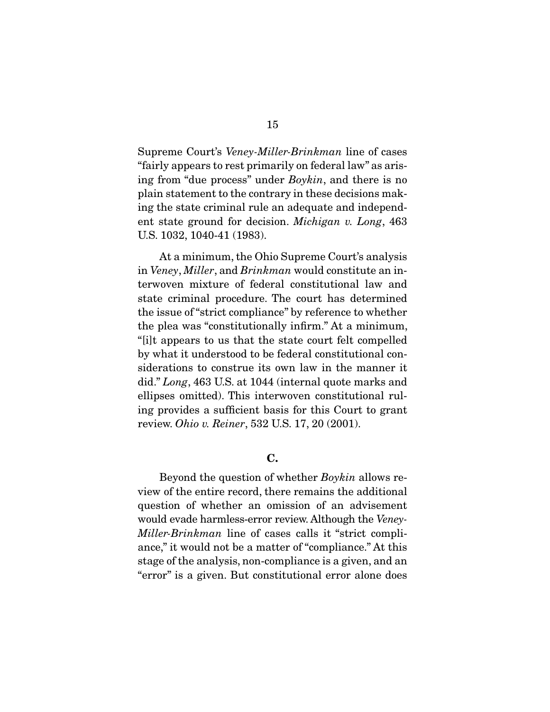Supreme Court's Veney-Miller-Brinkman line of cases<br>"fairly appears to rest primarily on federal law" as aris- $\frac{1}{2}$  from "due process" under *Boykin*, and there is no<br>plain statement to the contrary in these decisions make plain statement to the contrary in these decisions making the state criminal rule an adequate and independent state ground for decision. Michigan v. Long,  $463$ <br>US 1032 1040 41 (1983) U.S. 1032, 1040-41 (1983).

 $\frac{1}{\text{Im } \text{V}}$  and  $\frac{1}{\text{Im } \text{U}}$  and  $\frac{1}{\text{Im } \text{U}}$  and  $\frac{1}{\text{Im } \text{U}}$  and  $\frac{1}{\text{Im } \text{U}}$  and  $\frac{1}{\text{Im } \text{U}}$  and  $\frac{1}{\text{Im } \text{U}}$  and terwoven mixture of federal constitutional law and the issue of "strict compliance" by reference to whether the plea was "constitutionally infirm." At a minimum, "[i]t appears to us that the state court felt compelled by what it understood to be federal constitutional considerations to construe its own law in the manner it did." Long, 463 U.S. at 1044 (internal quote marks and ellipses emitted). This interverse constitutional rul ellipses omitted). This interwoven constitutional ruling provides a sufficient basis for this Court to grant review. Ohio v. Reiner, 532 U.S. 17, 20 (2001).

#### **C.**

Beyond the question of whether *Boykin* allows review of the entire record, there remains the additional question of whether an omission of an advisement would evade harmless-error review. Although the Veney-<br>Willer Brinkman, line of annon all it "strict compli Miller-Brinkman line of cases calls it "strict compliance," it would not be a matter of "compliance." At this stage of the analysis, non-compliance is a given, and an "error" is a given. But constitutional error alone does "error" is a given. But constitutional error alone does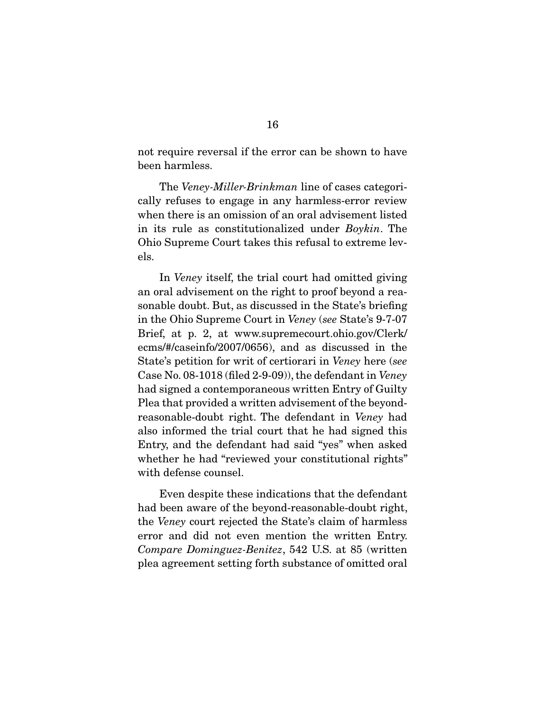not require reversal if the error can be shown to have<br>been harmless. been harmless.

The *Veney-Miller-Brinkman* line of cases categori-<br>cally refuses to engage in any harmless-error review when there is an omission of an oral advisement listed in its rule as constitutionalized under *Boykin*. The oh<br>oh els.

In *Veney* itself, the trial court had omitted giving an oral advisement on the right to proof beyond a reasonable doubt. But, as discussed in the State's briefing in the Ohio Supreme Court in Veney (see State's 9-7-07 Brief, at p. 2, at www.supremecourt.ohio.gov/Clerk/<br>ecms/#/caseinfo/2007/0656), and as discussed in the State's petition for writ of certiorari in Veney here (see<br>Case No. 08, 1018 (filed 2, 9, 09)), the defendant in Veney Case No. 08-1018 (filed 2-9-09)), the defendant in *Veney*<br>had signed a contemporaneous written Entry of Guilty Plea that provided a written advisement of the beyondreasonable-doubt right. The defendant in *Veney* had also informed the trial court that he had signed this Entry, and the defendant had said "yes" when asked whether he had "reviewed your constitutional rights" with defense counsel. with defense counsel.

Even despite these indications that the defendant<br>had been aware of the beyond-reasonable-doubt right, the *Veney* court rejected the State's claim of harmless Compare Dominguez-Benitez, 542 U.S. at 85 (written measurement software Dominguez-Benitez, 542 U.S. at 85 (written plea agreement setting forth substance of omitted oral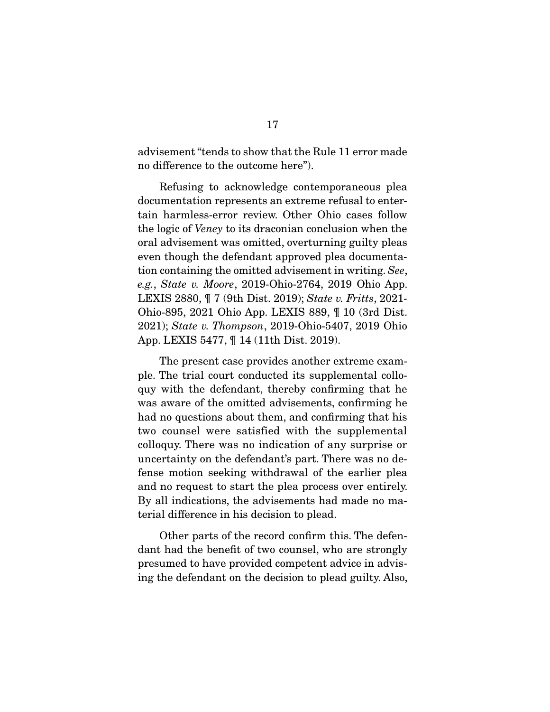advisement "tends to show that the Rule 11 error made<br>no difference to the outcome here"). no difference to the outcome here").

Refusing to acknowledge contemporaneous plea<br>documentation represents an extreme refusal to entertain harmless-error review. Other Ohio cases follow the logic of *Veney* to its draconian conclusion when the oral advisoment was emitted eventuring quilty places oral advisement was omitted, overturning guilty pleas tion containing the omitted advisement in writing. See, e.g., State v. Moore, 2019-Ohio-2764, 2019 Ohio App. LEXIS 2880,  $\P$  7 (9th Dist. 2019); State v. Fritts, 2021-<br>Ohio-895, 2021 Ohio App. LEXIS 889,  $\P$  10 (3rd Dist. 2021); State v. Thompson, 2019-Ohio-5407, 2019 Ohio App. LEXIS 5477, ¶ 14 (11th Dist. 2019).

The present case provides another extreme exam-<br>ple. The trial court conducted its supplemental colloquy with the defendant, thereby confirming that he was aware of the omitted advisements, confirming he had no questions about them, and confirming that his two counsel were satisfied with the supplemental colloquy. There was no indication of any surprise or uncertainty on the defendant's part. There was no defense motion seeking withdrawal of the earlier plea and no request to start the plea process over entirely. By all indications, the advisements had made no material difference in his decision to plead. terial difference in his decision to plead.

Other parts of the record confirm this. The defen-<br>dant had the benefit of two counsel, who are strongly presumed to have provided competent advice in advis- $\frac{1}{2}$  present a to  $\frac{1}{2}$  computed to  $\frac{1}{2}$  computed computed computed computed computed and  $\frac{1}{2}$  computed control of  $\frac{1}{2}$  computed control of  $\frac{1}{2}$  control of  $\frac{1}{2}$  control of  $\frac{1}{2}$  contr  $\sum_{i=0}^{n}$  in definition on the decision to plead guilty. Also,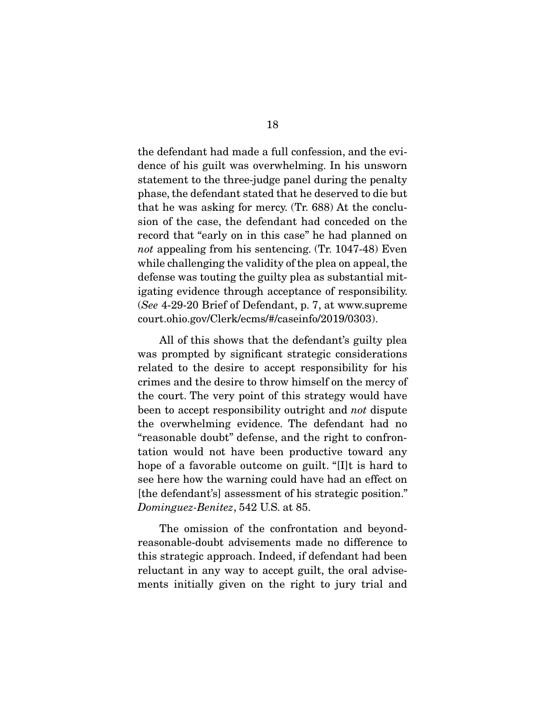the defendant had made a full confession, and the evidence of his guilt was overwhelming. In his unsworn statement to the three-judge panel during the penalty phase, the defendant stated that he deserved to die but that he was asking for mercy.  $(Tr. 688)$  At the conclusion of the case, the defendant had conceded on the record that "early on in this case" he had planned on not appealing from his sentencing. (Tr.  $1047-48$ ) Even<br>while challenging the validity of the plan appeal, the while challenging the validity of the plea on appeal, the defense was touting the guilty plea as substantial mitigating evidence through acceptance of responsibility.  $i_s$ <br>
(See 4-29-20 Brief of Defendant, p. 7, at www.supreme court.ohio.gov/Clerk/ecms/#/caseinfo/2019/0303).

All of this shows that the defendant's guilty plea<br>was prompted by significant strategic considerations related to the desire to accept responsibility for his crimes and the desire to throw himself on the mercy of the court. The very point of this strategy would have been to accept responsibility outright and *not* dispute the exergibility of  $\frac{1}{2}$ the overwhelming evidence. The defendant had no<br>"reasonable doubt" defense, and the right to confrontation would not have been productive toward any hope of a favorable outcome on guilt. "[I]t is hard to see here how the warning could have had an effect on [the defendant's] assessment of his strategic position." position of the defendant of his strategic position."

The omission of the confrontation and beyond-<br>reasonable-doubt advisements made no difference to this strategic approach. Indeed, if defendant had been reluctant in any way to accept guilt, the oral advisements initially given on the right to jury trial and  $\frac{1}{2}$  measured  $\frac{1}{2}$  given on the right to jury trial and  $\frac{1}{2}$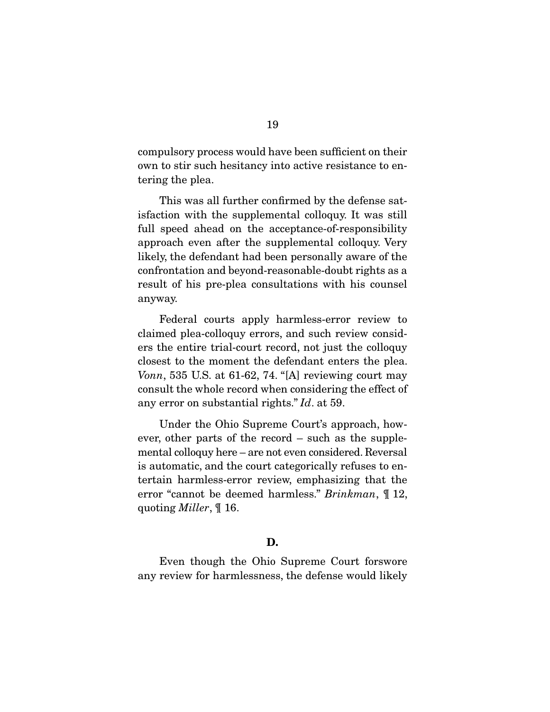compulsory process would have been sufficient on their  $\overline{\text{to}}$  to stir such the stir such that  $\overline{\text{to}}$ tering the plea.

This was all further confirmed by the defense satisfaction with the supplemental colloquy. It was still full speed ahead on the acceptance-of-responsibility. approach even after the supplemental colloquy. Very likely, the defendant had been personally aware of the confrontation and beyond-reasonable-doubt rights as a conflict the reason consultations with his counsel  $r_{\rm F}$  is pleased constant for the constant  $r_{\rm F}$ anyway.

Federal courts apply harmless-error review to claimed plea-colloquy errors, and such review considers the entire trial-court record, not just the colloquy closest to the moment the defendant enters the plea.  $Vonn, 535$  U.S. at 61-62, 74. "[A] reviewing court may consult the whole record when considering the effect of any error on substantial rights."  $Id$ . at 59.

Under the Ohio Supreme Court's approach, how-<br>ever, other parts of the record – such as the supplemental colloquy here – are not even considered. Reversal is automatic, and the court categorically refuses to entertain harmless-error review, emphasizing that the error "cannot be deemed harmless." Brinkman,  $\P$  12, quoting Miller, ¶ 16.

#### **D.**

Even though the Ohio Supreme Court forswore<br>any review for harmlessness, the defense would likely  $\alpha$  , the defense would likely the defense would likely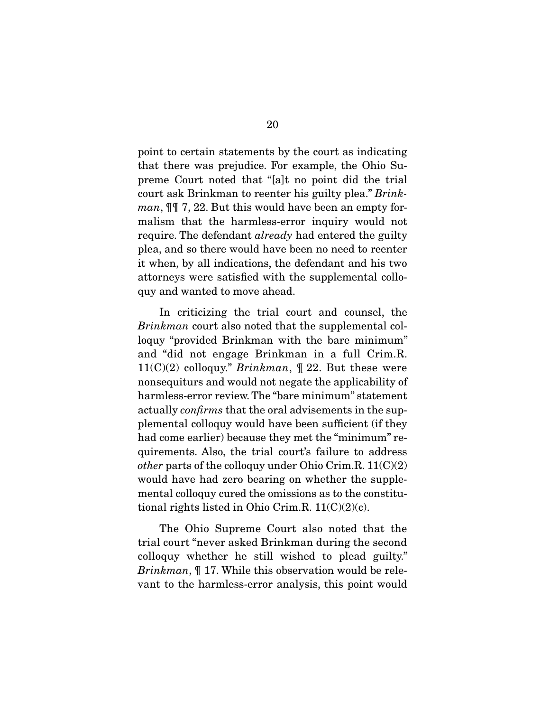point to certain statements by the court as indicating that there was prejudice. For example, the Ohio Supreme Court noted that "[a]t no point did the trial preme Court noted that "[a]t no point did the trial"<br>court ask Brinkman to reenter his guilty plea." Brink*man*,  $\mathbb{I}$  7, 22. But this would have been an empty for-<br>malism that the harmless-error inquiry would not require. The defendant *already* had entered the guilty<br>pleasend so there would have been no need to reenter. plea, and so there would have been no need to reenter<br>it when, by all indications, the defendant and his two attorneys were satisfied with the supplemental collo- $\frac{1}{2}$  and wanted to may aboad  $\mathbf{q} \cdot \mathbf{y}$  and wanted to move a move at  $\mathbf{q}$ .

 $Brinkman$  court also noted that the supplemental col-<br>locus "provided Brinkman with the bare minimum" loquy "provided Brinkman with the bare minimum" and "did not engage Brinkman in a full Crim.R.  $11(C)(2)$  colloquy." Brinkman,  $\parallel$  22. But these were nonsequiturs and would not negate the applicability of actually *confirms* that the oral advisements in the sup-<br>plemental colleguy would have been sufficient (if they plemental colloquy would have been sufficient (if they quirements. Also, the trial court's failure to address other parts of the colloquy under Ohio Crim.R.  $11(C)(2)$ <br>would have had zero begring on whether the supplewould have had zero bearing on whether the supple-<br>mental colloquy cured the omissions as to the constitutional rights listed in Ohio Crim.R.  $11(C)(2)(c)$ .  $t_{\text{rel}}$  rights listed in Ohio Crim. $\text{rel}}$  (c)(2)(c).

The Ohio Supreme Court also noted that the trial court "never asked Brinkman during the second colloquy whether he still wished to plead guilty."  $Brinkman$ ,  $\parallel$  17. While this observation would be rele-<br>yent to the hermless error enclusies this point would vant to the harmless-error analysis, this point would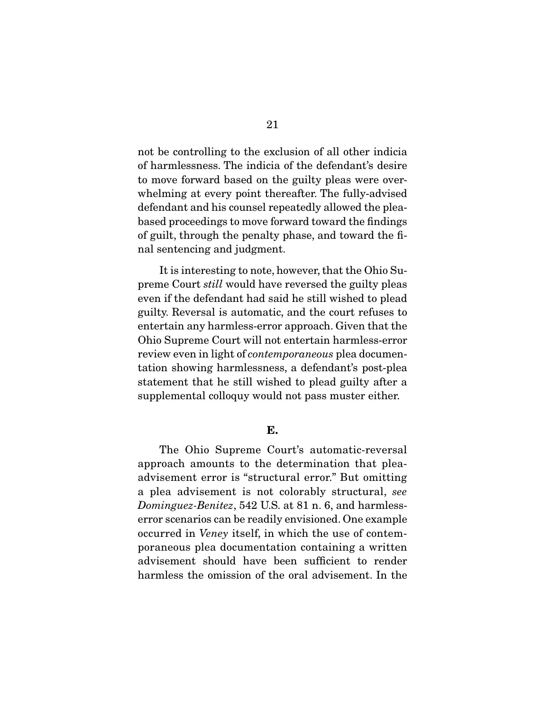not be controlling to the exclusion of all other indicia to move forward based on the guilty pleas were overwhelming at every point thereafter. The fully-advised defendant and his counsel repeatedly allowed the pleabased proceedings to move forward toward the findings of guilt, through the penalty phase, and toward the fi- $\sum_{i=1}^{n} a_i$  guilt the penalture phase, and the final through the final the final the final the final the final the final the final theorem is the final the final through states of  $\sum_{i=1}^{n} a_i$  and the final through s nal sentencing and judgment.

preme Court *still* would have reversed the guilty pleas even if the defendant had said he still wished to plead entertain any harmless-error approach. Given that the Ohio Supreme Court will not entertain harmless-error POHIO SUPREME COURT WILL NOT CHARGED THE HARDERS CHAPTER.<br>
review even in light of *contemporaneous* plea documentation showing harmlessness, a defendant's post-plea supplemental colloquy would not pass muster either. supplemental colloquy would not pass muster either.

#### **E.**

The Ohio Supreme Court's automatic-reversal<br>approach amounts to the determination that pleaadvisement error is "structural error." But omitting a plea advisement is not colorably structural, see<br>Dominaus: Banitas 542 U.S. at 81 p. 6, and harmloss Dominguez-Benitez, 542 U.S. at 81 n. 6, and harmless-<br>error scenarios can be readily envisioned. One example occurred in *Veney* itself, in which the use of contem-<br>perspecus plea decumentation conteining a written poraneous plea documentation containing a written harmless the omission of the oral advisement. In the harmless the omission of the oral advisement. In the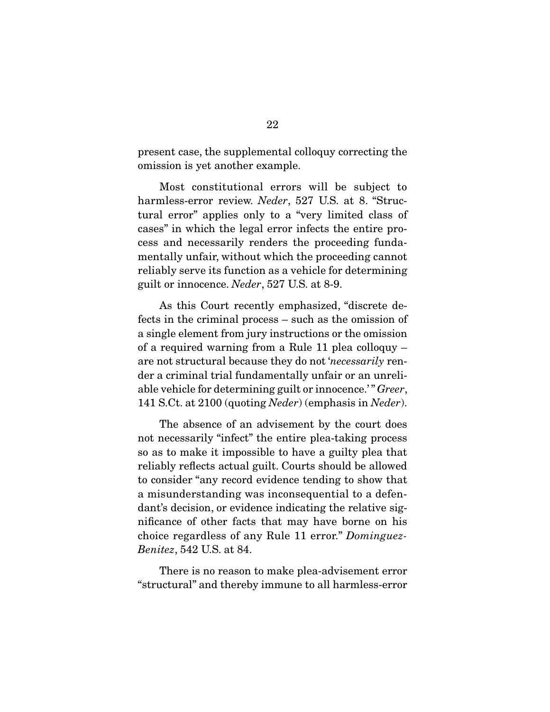present case, the supplemental colloquy correcting the omission is yet another example.  $\sum_{i=1}^{n}$ 

harmless-error review.  $Neder$ , 527 U.S. at 8. "Structural error" applies only to a "very limited class of cases" in which the legal error infects the entire process and necessarily renders the proceeding fundamentally unfair, without which the proceeding cannot reliably serve its function as a vehicle for determining guilt or innocence. Neder, 527 U.S. at 8-9.

As this Court recently emphasized, "discrete de-<br>fects in the criminal process – such as the omission of a single element from jury instructions or the omission of a required warning from a Rule 11 plea colloquy  $$ are not structural because they do not 'necessarily renable vehicle for determining guilt or innocence.'" Greer,<br>141 S Ct. at 2100 (quoting *Neder*) (omphasis in *Neder*) 141 S.Ct. at 2100 (quoting Neder) (emphasis in Neder).

The absence of an advisement by the court does not necessarily "infect" the entire plea-taking process so as to make it impossible to have a guilty plea that reliably reflects actual guilt. Courts should be allowed to consider "any record evidence tending to show that a misunderstanding was inconsequential to a defendant's decision, or evidence indicating the relative significance of other facts that may have borne on his choice regardless of any Rule 11 error." Dominguez-<br>Bonites 549 U.S. et 84 Benitez, 542 U.S. at 84.

There is no reason to make plea-advisement error<br>"structural" and thereby immune to all harmless-error  $\mathcal{L}$  structural to all  $\mathcal{L}$  in  $\mathcal{L}$  is all harmonic to all harmonic to all harmonic to all  $\mathcal{L}$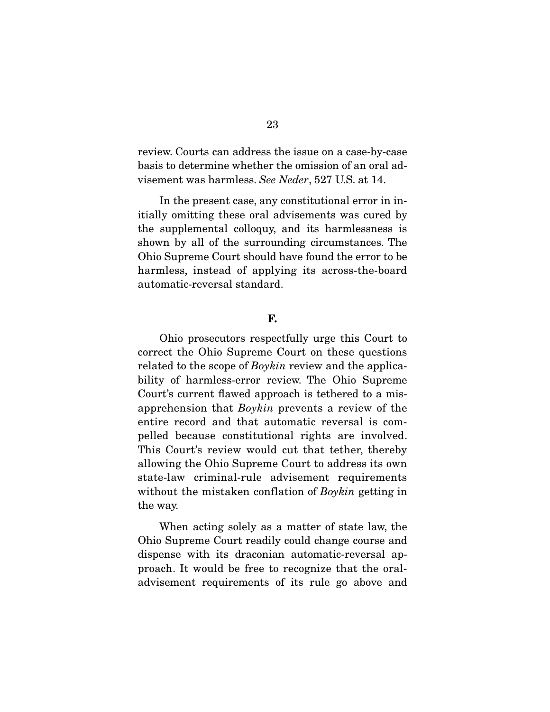review. Courts can address the issue on a case-by-case visement was harmless. See Neder, 527 U.S. at 14.

In the present case, any constitutional error in in-<br>itially omitting these oral advisements was cured by the supplemental colloquy, and its harmlessness is shown by all of the surrounding circumstances. The Ohio Supreme Court should have found the error to be. harmless, instead of applying its across-the-board automatic-reversal standard. automatic-reversal standard.

#### **F.**

Ohio prosecutors respectfully urge this Court to correct the Ohio Supreme Court on these questions  $r_{\text{related}}$  to the scope of *Boykin* review and the applica-<br>hility of harmless error review The Ohio Supreme bility of harmless-error review. The Ohio Supreme Court's current flawed approach is tethered to a misapprehension that  $Boykin$  prevents a review of the entire record and that automatic reversal is compelled because constitutional rights are involved. This Court's review would cut that tether, thereby allowing the Ohio Supreme Court to address its own state-law criminal-rule advisement requirements without the mistaken conflation of  $Boykin$  getting in the way. the way.

When acting solely as a matter of state law, the Ohio Supreme Court readily could change course and dispense with its draconian automatic-reversal approach. It would be free to recognize that the oralproming between the recognize that the oraladvisement requirements of its rule governments of  $\alpha$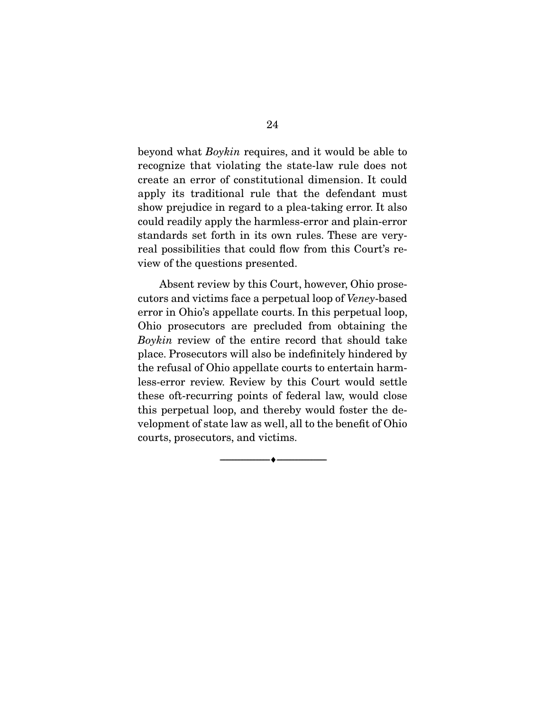beyond what *Boykin* requires, and it would be able to recognize that violating the state-law rule does not create an error of constitutional dimension. It could apply its traditional rule that the defendant must show prejudice in regard to a plea-taking error. It also could readily apply the harmless-error and plain-error. standards set forth in its own rules. These are veryreal possibilities that could flow from this Court's re- $\frac{1}{2}$  could find the counting proposited view of the questions presented.

cutors and victims face a perpetual loop of Veney-based<br>error in Ohio's annellate courts. In this perpetual loop error in Ohio's appellate courts. In this perpetual loop,<br>Ohio prosecutors are precluded from obtaining the  $Boykin$  review of the entire record that should take place. Prosecutors will also be indefinitely hindered by less-error review. Review by this Court would settle these of t-recurring points of federal law, would close this perpetual loop, and thereby would foster the development of state law as well, all to the benefit of Ohio velopment of state law as well, an extreme of Ohio  $\alpha$ ,  $\beta$ , prosecutions, and victims.

 $\overbrace{\hspace{2.5cm}}$   $\overbrace{\hspace{2.5cm}}$